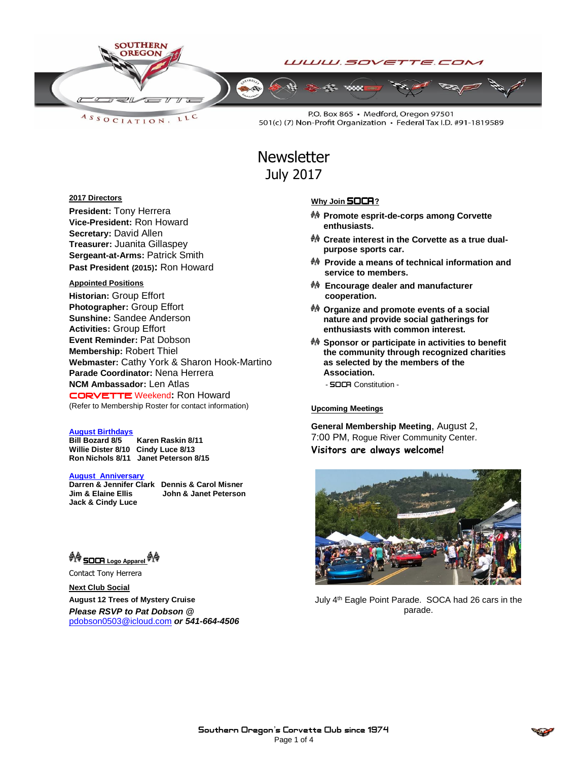

LLC ASSOCIATION.

P.O. Box 865 · Medford, Oregon 97501 501(c) (7) Non-Profit Organization · Federal Tax I.D. #91-1819589

# **Newsletter** July 2017

### **2017 Directors**

**President:** Tony Herrera **Vice-President:** Ron Howard **Secretary:** David Allen **Treasurer:** Juanita Gillaspey **Sergeant-at-Arms:** Patrick Smith **Past President (2015):** Ron Howard

#### **Appointed Positions**

**Historian:** Group Effort **Photographer:** Group Effort **Sunshine:** Sandee Anderson **Activities:** Group Effort **Event Reminder:** Pat Dobson **Membership:** Robert Thiel **Webmaster:** Cathy York & Sharon Hook-Martino **Parade Coordinator:** Nena Herrera **NCM Ambassador:** Len Atlas CORVETTEWeekend**:** Ron Howard (Refer to Membership Roster for contact information)

#### **August Birthdays**

**Bill Bozard 8/5 Karen Raskin 8/11 Willie Dister 8/10 Cindy Luce 8/13 Ron Nichols 8/11 Janet Peterson 8/15**

**August Anniversary**

**Jack & Cindy Luce**

**Darren & Jennifer Clark Dennis & Carol Misner John & Janet Peterson** 

<sup>ଭ</sup>ାବି <u>SOCR Logo Apparel</u> ଚାବି

Contact Tony Herrera

**Next Club Social August 12 Trees of Mystery Cruise** *Please RSVP to Pat Dobson @*  [pdobson0503@icloud.com](mailto:pdobson0503@icloud.com) *or 541-664-4506*

### **Why Join SOCA**?

- **Promote esprit-de-corps among Corvette enthusiasts.**
- **Create interest in the Corvette as a true dualpurpose sports car.**
- **Provide a means of technical information and service to members.**
- **Encourage dealer and manufacturer cooperation.**
- **Organize and promote events of a social nature and provide social gatherings for enthusiasts with common interest.**
- **Sponsor or participate in activities to benefit the community through recognized charities as selected by the members of the Association.**
	- **SOCA** Constitution -

#### Upcoming Meetings

**General Membership Meeting**, August 2, 7:00 PM, Rogue River Community Center. **Visitors are always welcome!**



July 4<sup>th</sup> Eagle Point Parade. SOCA had 26 cars in the parade.

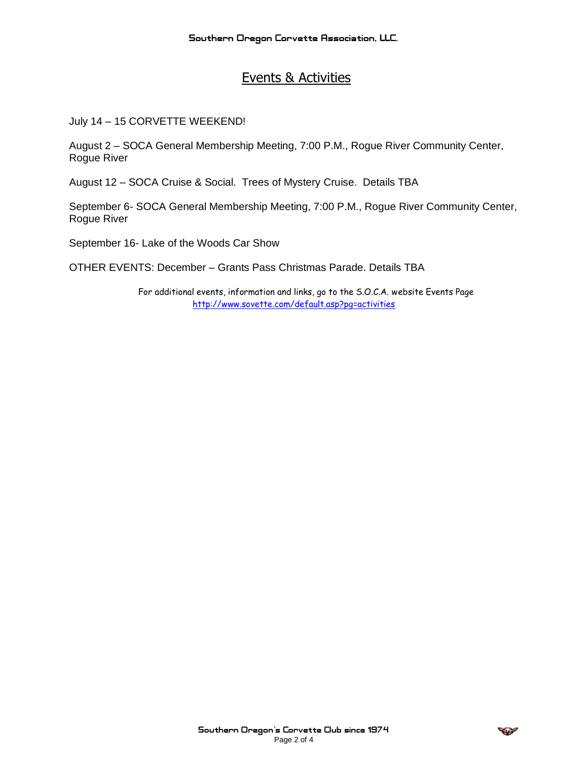# Events & Activities

July 14 – 15 CORVETTE WEEKEND!

August 2 – SOCA General Membership Meeting, 7:00 P.M., Rogue River Community Center, Rogue River

August 12 – SOCA Cruise & Social. Trees of Mystery Cruise. Details TBA

September 6- SOCA General Membership Meeting, 7:00 P.M., Rogue River Community Center, Rogue River

September 16- Lake of the Woods Car Show

OTHER EVENTS: December – Grants Pass Christmas Parade. Details TBA

For additional events, information and links, go to the S.O.C.A. website Events Page <http://www.sovette.com/default.asp?pg=activities>

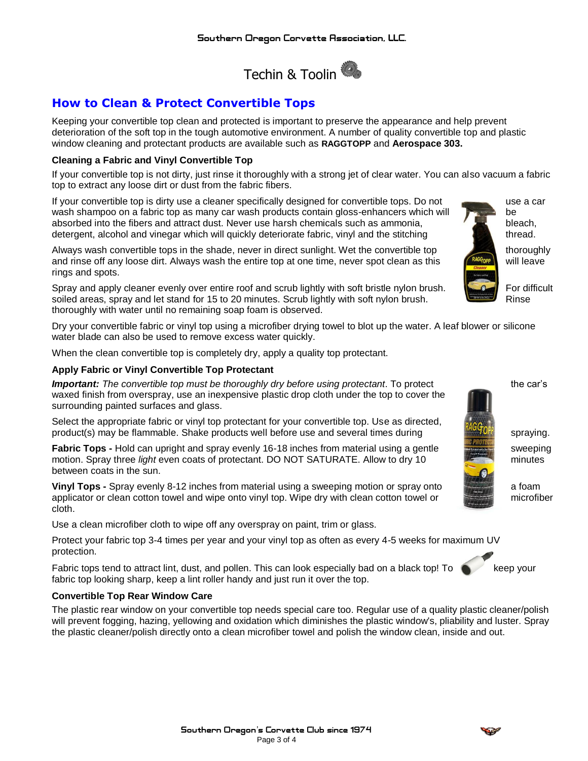

# **How to Clean & Protect Convertible Tops**

Keeping your convertible top clean and protected is important to preserve the appearance and help prevent deterioration of the soft top in the tough automotive environment. A number of quality convertible top and plastic window cleaning and protectant products are available such as **RAGGTOPP** and **Aerospace 303.**

### **Cleaning a Fabric and Vinyl Convertible Top**

If your convertible top is not dirty, just rinse it thoroughly with a strong jet of clear water. You can also vacuum a fabric top to extract any loose dirt or dust from the fabric fibers.

If your convertible top is dirty use a cleaner specifically designed for convertible tops. Do not use a car wash shampoo on a fabric top as many car wash products contain gloss-enhancers which will be be absorbed into the fibers and attract dust. Never use harsh chemicals such as ammonia,  $\mathcal{L}$  bleach, detergent, alcohol and vinegar which will quickly deteriorate fabric, vinyl and the stitching thread.

Always wash convertible tops in the shade, never in direct sunlight. Wet the convertible top thoroughly and rinse off any loose dirt. Always wash the entire top at one time, never spot clean as this will leave rings and spots.

Spray and apply cleaner evenly over entire roof and scrub lightly with soft bristle nylon brush. For difficult soiled areas, spray and let stand for 15 to 20 minutes. Scrub lightly with soft nylon brush. Rinse thoroughly with water until no remaining soap foam is observed.

Dry your convertible fabric or vinyl top using a microfiber drying towel to blot up the water. A leaf blower or silicone water blade can also be used to remove excess water quickly.

When the clean convertible top is completely dry, apply a quality top protectant.

## **Apply Fabric or Vinyl Convertible Top Protectant**

**Important:** The convertible top must be thoroughly dry before using protectant. To protect the car's waxed finish from overspray, use an inexpensive plastic drop cloth under the top to cover the surrounding painted surfaces and glass.

Select the appropriate fabric or vinyl top protectant for your convertible top. Use as directed, product(s) may be flammable. Shake products well before use and several times during spraying spraying.

**Fabric Tops -** Hold can upright and spray evenly 16-18 inches from material using a gentle sweeping motion. Spray three *light* even coats of protectant. DO NOT SATURATE. Allow to dry 10 minutes between coats in the sun.

**Vinyl Tops -** Spray evenly 8-12 inches from material using a sweeping motion or spray onto a foam applicator or clean cotton towel and wipe onto vinyl top. Wipe dry with clean cotton towel or microfiber cloth.

Use a clean microfiber cloth to wipe off any overspray on paint, trim or glass.

Protect your fabric top 3-4 times per year and your vinyl top as often as every 4-5 weeks for maximum UV protection.

> **Southern Oregon**'**s Corvette Club since 1974** Page 3 of 4

Fabric tops tend to attract lint, dust, and pollen. This can look especially bad on a black top! To keep your fabric top looking sharp, keep a lint roller handy and just run it over the top.

### **Convertible Top Rear Window Care**

The plastic rear window on your convertible top needs special care too. Regular use of a quality plastic cleaner/polish will prevent fogging, hazing, yellowing and oxidation which diminishes the plastic window's, pliability and luster. Spray the plastic cleaner/polish directly onto a clean microfiber towel and polish the window clean, inside and out.